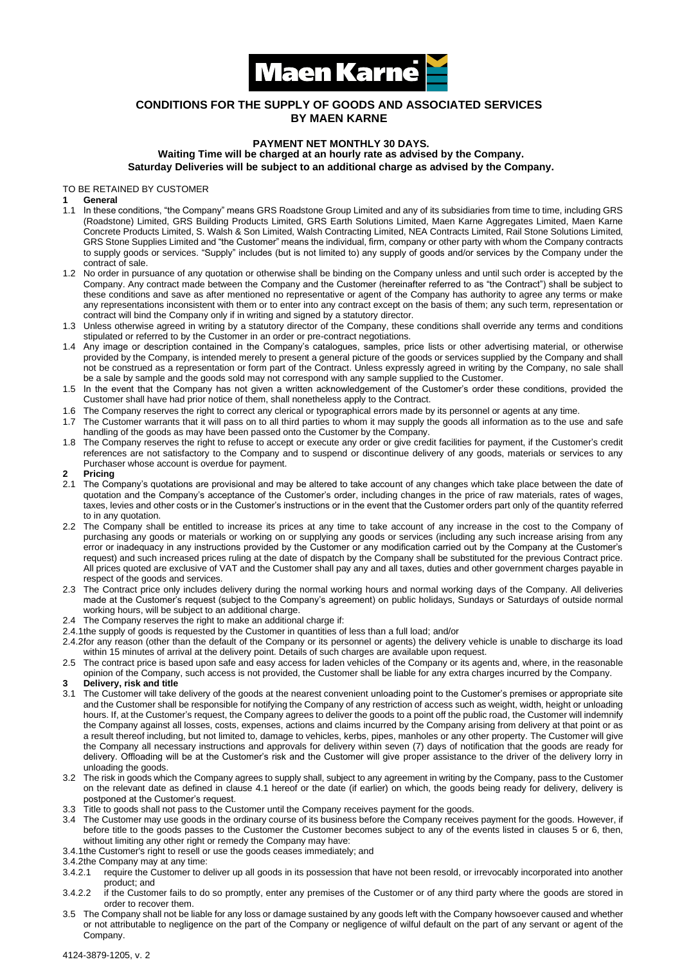

# **CONDITIONS FOR THE SUPPLY OF GOODS AND ASSOCIATED SERVICES BY MAEN KARNE**

# **PAYMENT NET MONTHLY 30 DAYS. Waiting Time will be charged at an hourly rate as advised by the Company. Saturday Deliveries will be subject to an additional charge as advised by the Company.**

TO BE RETAINED BY CUSTOMER

#### **1 General**

- 1.1 In these conditions, "the Company" means GRS Roadstone Group Limited and any of its subsidiaries from time to time, including GRS (Roadstone) Limited, GRS Building Products Limited, GRS Earth Solutions Limited, Maen Karne Aggregates Limited, Maen Karne Concrete Products Limited, S. Walsh & Son Limited, Walsh Contracting Limited, NEA Contracts Limited, Rail Stone Solutions Limited, GRS Stone Supplies Limited and "the Customer" means the individual, firm, company or other party with whom the Company contracts to supply goods or services. "Supply" includes (but is not limited to) any supply of goods and/or services by the Company under the contract of sale.
- 1.2 No order in pursuance of any quotation or otherwise shall be binding on the Company unless and until such order is accepted by the Company. Any contract made between the Company and the Customer (hereinafter referred to as "the Contract") shall be subject to these conditions and save as after mentioned no representative or agent of the Company has authority to agree any terms or make any representations inconsistent with them or to enter into any contract except on the basis of them; any such term, representation or contract will bind the Company only if in writing and signed by a statutory director.
- 1.3 Unless otherwise agreed in writing by a statutory director of the Company, these conditions shall override any terms and conditions stipulated or referred to by the Customer in an order or pre-contract negotiations.
- 1.4 Any image or description contained in the Company's catalogues, samples, price lists or other advertising material, or otherwise provided by the Company, is intended merely to present a general picture of the goods or services supplied by the Company and shall not be construed as a representation or form part of the Contract. Unless expressly agreed in writing by the Company, no sale shall be a sale by sample and the goods sold may not correspond with any sample supplied to the Customer.
- 1.5 In the event that the Company has not given a written acknowledgement of the Customer's order these conditions, provided the Customer shall have had prior notice of them, shall nonetheless apply to the Contract.
- 1.6 The Company reserves the right to correct any clerical or typographical errors made by its personnel or agents at any time.
- 1.7 The Customer warrants that it will pass on to all third parties to whom it may supply the goods all information as to the use and safe handling of the goods as may have been passed onto the Customer by the Company.
- 1.8 The Company reserves the right to refuse to accept or execute any order or give credit facilities for payment, if the Customer's credit references are not satisfactory to the Company and to suspend or discontinue delivery of any goods, materials or services to any Purchaser whose account is overdue for payment.

### **2 Pricing**

- 2.1 The Company's quotations are provisional and may be altered to take account of any changes which take place between the date of quotation and the Company's acceptance of the Customer's order, including changes in the price of raw materials, rates of wages, taxes, levies and other costs or in the Customer's instructions or in the event that the Customer orders part only of the quantity referred to in any quotation.
- 2.2 The Company shall be entitled to increase its prices at any time to take account of any increase in the cost to the Company of purchasing any goods or materials or working on or supplying any goods or services (including any such increase arising from any error or inadequacy in any instructions provided by the Customer or any modification carried out by the Company at the Customer's request) and such increased prices ruling at the date of dispatch by the Company shall be substituted for the previous Contract price. All prices quoted are exclusive of VAT and the Customer shall pay any and all taxes, duties and other government charges payable in respect of the goods and services.
- 2.3 The Contract price only includes delivery during the normal working hours and normal working days of the Company. All deliveries made at the Customer's request (subject to the Company's agreement) on public holidays, Sundays or Saturdays of outside normal working hours, will be subject to an additional charge.
- 2.4 The Company reserves the right to make an additional charge if:
- 2.4.1the supply of goods is requested by the Customer in quantities of less than a full load; and/or
- 2.4.2for any reason (other than the default of the Company or its personnel or agents) the delivery vehicle is unable to discharge its load within 15 minutes of arrival at the delivery point. Details of such charges are available upon request.
- 2.5 The contract price is based upon safe and easy access for laden vehicles of the Company or its agents and, where, in the reasonable opinion of the Company, such access is not provided, the Customer shall be liable for any extra charges incurred by the Company.

# **3 Delivery, risk and title**

- 3.1 The Customer will take delivery of the goods at the nearest convenient unloading point to the Customer's premises or appropriate site and the Customer shall be responsible for notifying the Company of any restriction of access such as weight, width, height or unloading hours. If, at the Customer's request, the Company agrees to deliver the goods to a point off the public road, the Customer will indemnify the Company against all losses, costs, expenses, actions and claims incurred by the Company arising from delivery at that point or as a result thereof including, but not limited to, damage to vehicles, kerbs, pipes, manholes or any other property. The Customer will give the Company all necessary instructions and approvals for delivery within seven (7) days of notification that the goods are ready for delivery. Offloading will be at the Customer's risk and the Customer will give proper assistance to the driver of the delivery lorry in unloading the goods.
- 3.2 The risk in goods which the Company agrees to supply shall, subject to any agreement in writing by the Company, pass to the Customer on the relevant date as defined in clause 4.1 hereof or the date (if earlier) on which, the goods being ready for delivery, delivery is postponed at the Customer's request.
- 3.3 Title to goods shall not pass to the Customer until the Company receives payment for the goods.
- 3.4 The Customer may use goods in the ordinary course of its business before the Company receives payment for the goods. However, if before title to the goods passes to the Customer the Customer becomes subject to any of the events listed in clauses 5 or 6, then, without limiting any other right or remedy the Company may have:
- 3.4.1the Customer's right to resell or use the goods ceases immediately; and
- 3.4.2the Company may at any time:
- 3.4.2.1 require the Customer to deliver up all goods in its possession that have not been resold, or irrevocably incorporated into another product; and
- 3.4.2.2 if the Customer fails to do so promptly, enter any premises of the Customer or of any third party where the goods are stored in order to recover them.
- 3.5 The Company shall not be liable for any loss or damage sustained by any goods left with the Company howsoever caused and whether or not attributable to negligence on the part of the Company or negligence of wilful default on the part of any servant or agent of the Company.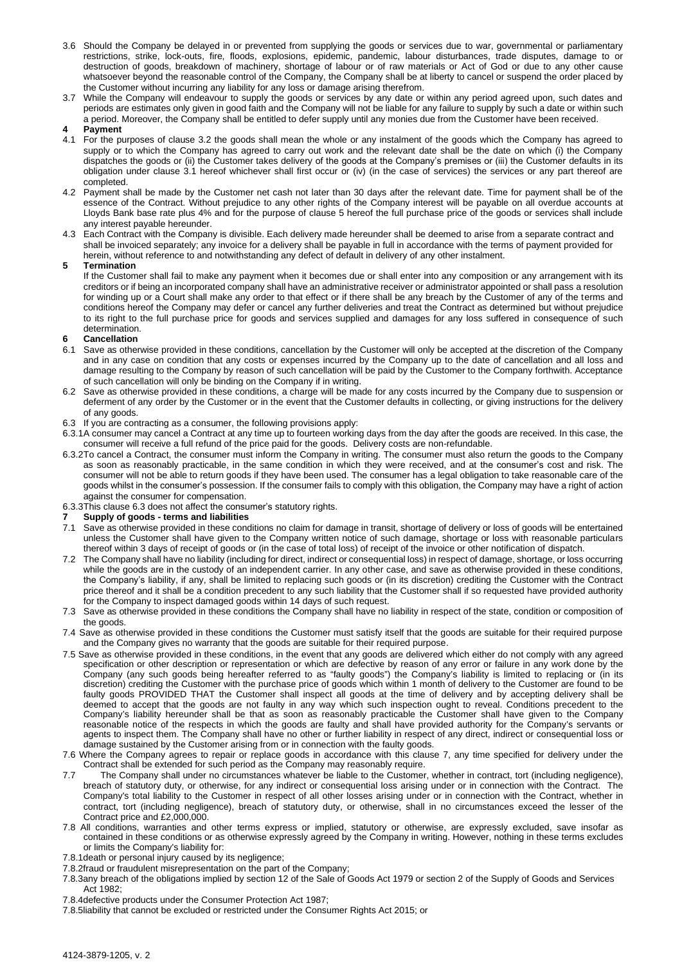- 3.6 Should the Company be delayed in or prevented from supplying the goods or services due to war, governmental or parliamentary restrictions, strike, lock-outs, fire, floods, explosions, epidemic, pandemic, labour disturbances, trade disputes, damage to or destruction of goods, breakdown of machinery, shortage of labour or of raw materials or Act of God or due to any other cause whatsoever beyond the reasonable control of the Company, the Company shall be at liberty to cancel or suspend the order placed by the Customer without incurring any liability for any loss or damage arising therefrom.
- While the Company will endeavour to supply the goods or services by any date or within any period agreed upon, such dates and 3.7 periods are estimates only given in good faith and the Company will not be liable for any failure to supply by such a date or within such a period. Moreover, the Company shall be entitled to defer supply until any monies due from the Customer have been received.

#### **Payment 4**

- For the purposes of clause 3.2 the goods shall mean the whole or any instalment of the goods which the Company has agreed to 4.1 supply or to which the Company has agreed to carry out work and the relevant date shall be the date on which (i) the Company dispatches the goods or (ii) the Customer takes delivery of the goods at the Company's premises or (iii) the Customer defaults in its obligation under clause 3.1 hereof whichever shall first occur or (iv) (in the case of services) the services or any part thereof are completed.
- 4.2 Payment shall be made by the Customer net cash not later than 30 days after the relevant date. Time for payment shall be of the essence of the Contract. Without prejudice to any other rights of the Company interest will be payable on all overdue accounts at Lloyds Bank base rate plus 4% and for the purpose of clause 5 hereof the full purchase price of the goods or services shall include any interest payable hereunder.
- Each Contract with the Company is divisible. Each delivery made hereunder shall be deemed to arise from a separate contract and 4.3 shall be invoiced separately; any invoice for a delivery shall be payable in full in accordance with the terms of payment provided for herein, without reference to and notwithstanding any defect of default in delivery of any other instalment.

#### **Termination 5**

If the Customer shall fail to make any payment when it becomes due or shall enter into any composition or any arrangement with its creditors or if being an incorporated company shall have an administrative receiver or administrator appointed or shall pass a resolution for winding up or a Court shall make any order to that effect or if there shall be any breach by the Customer of any of the terms and conditions hereof the Company may defer or cancel any further deliveries and treat the Contract as determined but without prejudice to its right to the full purchase price for goods and services supplied and damages for any loss suffered in consequence of such determination.

#### **Cancellation 6**

- Save as otherwise provided in these conditions, cancellation by the Customer will only be accepted at the discretion of the Company 6.1 and in any case on condition that any costs or expenses incurred by the Company up to the date of cancellation and all loss and damage resulting to the Company by reason of such cancellation will be paid by the Customer to the Company forthwith. Acceptance of such cancellation will only be binding on the Company if in writing.
- Save as otherwise provided in these conditions, a charge will be made for any costs incurred by the Company due to suspension or 6.2 deferment of any order by the Customer or in the event that the Customer defaults in collecting, or giving instructions for the delivery of any goods.
- 6.3 If you are contracting as a consumer, the following provisions apply:
- 6.3.1A consumer may cancel a Contract at any time up to fourteen working days from the day after the goods are received. In this case, the consumer will receive a full refund of the price paid for the goods. Delivery costs are non-refundable.
- 6.3.2To cancel a Contract, the consumer must inform the Company in writing. The consumer must also return the goods to the Company as soon as reasonably practicable, in the same condition in which they were received, and at the consumer's cost and risk. The consumer will not be able to return goods if they have been used. The consumer has a legal obligation to take reasonable care of the goods whilst in the consumer's possession. If the consumer fails to comply with this obligation, the Company may have a right of action against the consumer for compensation.
- 6.3.3This clause 6.3 does not affect the consumer's statutory rights.
- **7 Supply of goods - terms and liabilities**
- 7.1 Save as otherwise provided in these conditions no claim for damage in transit, shortage of delivery or loss of goods will be entertained unless the Customer shall have given to the Company written notice of such damage, shortage or loss with reasonable particulars thereof within 3 days of receipt of goods or (in the case of total loss) of receipt of the invoice or other notification of dispatch.
- The Company shall have no liability (including for direct, indirect or consequential loss) in respect of damage, shortage, or loss occurring 7.2 while the goods are in the custody of an independent carrier. In any other case, and save as otherwise provided in these conditions, the Company's liability, if any, shall be limited to replacing such goods or (in its discretion) crediting the Customer with the Contract price thereof and it shall be a condition precedent to any such liability that the Customer shall if so requested have provided authority for the Company to inspect damaged goods within 14 days of such request.
- 7.3 Save as otherwise provided in these conditions the Company shall have no liability in respect of the state, condition or composition of the goods.
- 7.4 Save as otherwise provided in these conditions the Customer must satisfy itself that the goods are suitable for their required purpose and the Company gives no warranty that the goods are suitable for their required purpose.
- 7.5 Save as otherwise provided in these conditions, in the event that any goods are delivered which either do not comply with any agreed specification or other description or representation or which are defective by reason of any error or failure in any work done by the Company (any such goods being hereafter referred to as "faulty goods") the Company's liability is limited to replacing or (in its discretion) crediting the Customer with the purchase price of goods which within 1 month of delivery to the Customer are found to be faulty goods PROVIDED THAT the Customer shall inspect all goods at the time of delivery and by accepting delivery shall be deemed to accept that the goods are not faulty in any way which such inspection ought to reveal. Conditions precedent to the Company's liability hereunder shall be that as soon as reasonably practicable the Customer shall have given to the Company reasonable notice of the respects in which the goods are faulty and shall have provided authority for the Company's servants or agents to inspect them. The Company shall have no other or further liability in respect of any direct, indirect or consequential loss or damage sustained by the Customer arising from or in connection with the faulty goods.
- 7.6 Where the Company agrees to repair or replace goods in accordance with this clause 7, any time specified for delivery under the Contract shall be extended for such period as the Company may reasonably require.
- 7.7 The Company shall under no circumstances whatever be liable to the Customer, whether in contract, tort (including negligence), breach of statutory duty, or otherwise, for any indirect or consequential loss arising under or in connection with the Contract. The Company's total liability to the Customer in respect of all other losses arising under or in connection with the Contract, whether in contract, tort (including negligence), breach of statutory duty, or otherwise, shall in no circumstances exceed the lesser of the Contract price and £2,000,000.
- 7.8 All conditions, warranties and other terms express or implied, statutory or otherwise, are expressly excluded, save insofar as contained in these conditions or as otherwise expressly agreed by the Company in writing. However, nothing in these terms excludes or limits the Company's liability for:
- 7.8.1death or personal injury caused by its negligence;
- 7.8.2fraud or fraudulent misrepresentation on the part of the Company;
- 7.8.3any breach of the obligations implied by section 12 of the Sale of Goods Act 1979 or section 2 of the Supply of Goods and Services Act 1982;
- 7.8.4defective products under the Consumer Protection Act 1987;
- 7.8.5liability that cannot be excluded or restricted under the Consumer Rights Act 2015; or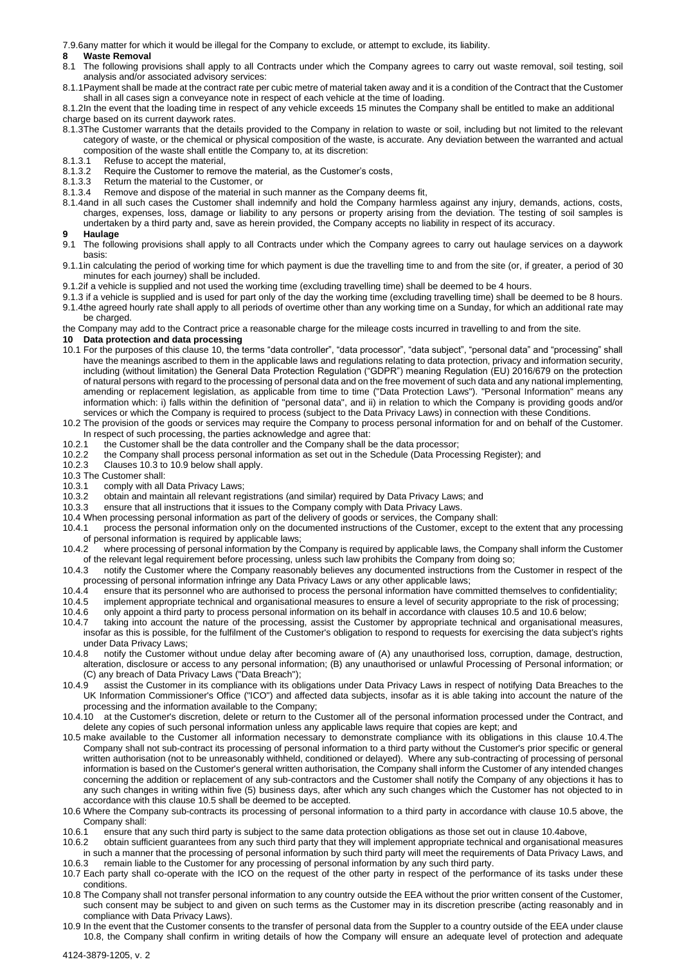7.9.6any matter for which it would be illegal for the Company to exclude, or attempt to exclude, its liability.

- **8 Waste Removal**<br>**8.1 The following pro** The following provisions shall apply to all Contracts under which the Company agrees to carry out waste removal, soil testing, soil analysis and/or associated advisory services:
- 8.1.1Payment shall be made at the contract rate per cubic metre of material taken away and it is a condition of the Contract that the Customer shall in all cases sign a conveyance note in respect of each vehicle at the time of loading.
- 8.1.2In the event that the loading time in respect of any vehicle exceeds 15 minutes the Company shall be entitled to make an additional charge based on its current daywork rates.
- 8.1.3The Customer warrants that the details provided to the Company in relation to waste or soil, including but not limited to the relevant category of waste, or the chemical or physical composition of the waste, is accurate. Any deviation between the warranted and actual composition of the waste shall entitle the Company to, at its discretion:<br>8.1.3.1 Refuse to accept the material.
- 8.1.3.1 Refuse to accept the material,<br>8.1.3.2 Require the Customer to remo
- Require the Customer to remove the material, as the Customer's costs,
- 8.1.3.3 Return the material to the Customer, or
- 8.1.3.4 Remove and dispose of the material in such manner as the Company deems fit,
- 8.1.4and in all such cases the Customer shall indemnify and hold the Company harmless against any injury, demands, actions, costs, charges, expenses, loss, damage or liability to any persons or property arising from the deviation. The testing of soil samples is undertaken by a third party and, save as herein provided, the Company accepts no liability in respect of its accuracy.

- **9 Haulage**<br>**9.1 The follo** The following provisions shall apply to all Contracts under which the Company agrees to carry out haulage services on a daywork basis:
- 9.1.1in calculating the period of working time for which payment is due the travelling time to and from the site (or, if greater, a period of 30 minutes for each journey) shall be included.
- 9.1.2if a vehicle is supplied and not used the working time (excluding travelling time) shall be deemed to be 4 hours.
- 9.1.3 if a vehicle is supplied and is used for part only of the day the working time (excluding travelling time) shall be deemed to be 8 hours. 9.1.4the agreed hourly rate shall apply to all periods of overtime other than any working time on a Sunday, for which an additional rate may be charged.
- the Company may add to the Contract price a reasonable charge for the mileage costs incurred in travelling to and from the site.

#### **10 Data protection and data processing**

- 10.1 For the purposes of this clause 10, the terms "data controller", "data processor", "data subject", "personal data" and "processing" shall have the meanings ascribed to them in the applicable laws and regulations relating to data protection, privacy and information security, including (without limitation) the General Data Protection Regulation ("GDPR") meaning Regulation (EU) 2016/679 on the protection of natural persons with regard to the processing of personal data and on the free movement of such data and any national implementing, amending or replacement legislation, as applicable from time to time ("Data Protection Laws"). "Personal Information" means any information which: i) falls within the definition of "personal data", and ii) in relation to which the Company is providing goods and/or services or which the Company is required to process (subject to the Data Privacy Laws) in connection with these Conditions.
- 10.2 The provision of the goods or services may require the Company to process personal information for and on behalf of the Customer. In respect of such processing, the parties acknowledge and agree that:
- 10.2.1 the Customer shall be the data controller and the Company shall be the data processor;
- 10.2.2 the Company shall process personal information as set out in the Schedule (Data Processing Register); and
- 10.2.3 Clauses 10.3 to 10.9 below shall apply.

10.3 The Customer shall:

- 10.3.1 comply with all Data Privacy Laws;
- 10.3.2 obtain and maintain all relevant registrations (and similar) required by Data Privacy Laws; and
- 10.3.3 ensure that all instructions that it issues to the Company comply with Data Privacy Laws.
- 10.4 When processing personal information as part of the delivery of goods or services, the Company shall:
- 10.4.1 process the personal information only on the documented instructions of the Customer, except to the extent that any processing
- of personal information is required by applicable laws;<br>10.4.2 where processing of personal information by the where processing of personal information by the Company is required by applicable laws, the Company shall inform the Customer of the relevant legal requirement before processing, unless such law prohibits the Company from doing so;
- 10.4.3 notify the Customer where the Company reasonably believes any documented instructions from the Customer in respect of the processing of personal information infringe any Data Privacy Laws or any other applicable laws;
- 10.4.4 ensure that its personnel who are authorised to process the personal information have committed themselves to confidentiality;
- 10.4.5 implement appropriate technical and organisational measures to ensure a level of security appropriate to the risk of processing;
- 10.4.6 only appoint a third party to process personal information on its behalf in accordance with clauses 10.5 and 10.6 below;
- 10.4.7 taking into account the nature of the processing, assist the Customer by appropriate technical and organisational measures, insofar as this is possible, for the fulfilment of the Customer's obligation to respond to requests for exercising the data subject's rights under Data Privacy Laws;
- 10.4.8 notify the Customer without undue delay after becoming aware of (A) any unauthorised loss, corruption, damage, destruction, alteration, disclosure or access to any personal information; (B) any unauthorised or unlawful Processing of Personal information; or (C) any breach of Data Privacy Laws ("Data Breach");
- 10.4.9 assist the Customer in its compliance with its obligations under Data Privacy Laws in respect of notifying Data Breaches to the UK Information Commissioner's Office ("ICO") and affected data subjects, insofar as it is able taking into account the nature of the processing and the information available to the Company;
- 10.4.10 at the Customer's discretion, delete or return to the Customer all of the personal information processed under the Contract, and delete any copies of such personal information unless any applicable laws require that copies are kept; and
- 10.5 make available to the Customer all information necessary to demonstrate compliance with its obligations in this clause 10.4.The Company shall not sub-contract its processing of personal information to a third party without the Customer's prior specific or general written authorisation (not to be unreasonably withheld, conditioned or delayed). Where any sub-contracting of processing of personal information is based on the Customer's general written authorisation, the Company shall inform the Customer of any intended changes concerning the addition or replacement of any sub-contractors and the Customer shall notify the Company of any objections it has to any such changes in writing within five (5) business days, after which any such changes which the Customer has not objected to in accordance with this clause 10.5 shall be deemed to be accepted.
- 10.6 Where the Company sub-contracts its processing of personal information to a third party in accordance with clause 10.5 above, the Company shall:
- 10.6.1 ensure that any such third party is subject to the same data protection obligations as those set out in clause 10.4above,
- 10.6.2 obtain sufficient guarantees from any such third party that they will implement appropriate technical and organisational measures in such a manner that the processing of personal information by such third party will meet the requirements of Data Privacy Laws, and 10.6.3 remain liable to the Customer for any processing of personal information by any such third party.
- 10.7 Each party shall co-operate with the ICO on the request of the other party in respect of the performance of its tasks under these conditions.
- 10.8 The Company shall not transfer personal information to any country outside the EEA without the prior written consent of the Customer, such consent may be subject to and given on such terms as the Customer may in its discretion prescribe (acting reasonably and in compliance with Data Privacy Laws).
- 10.9 In the event that the Customer consents to the transfer of personal data from the Suppler to a country outside of the EEA under clause 10.8, the Company shall confirm in writing details of how the Company will ensure an adequate level of protection and adequate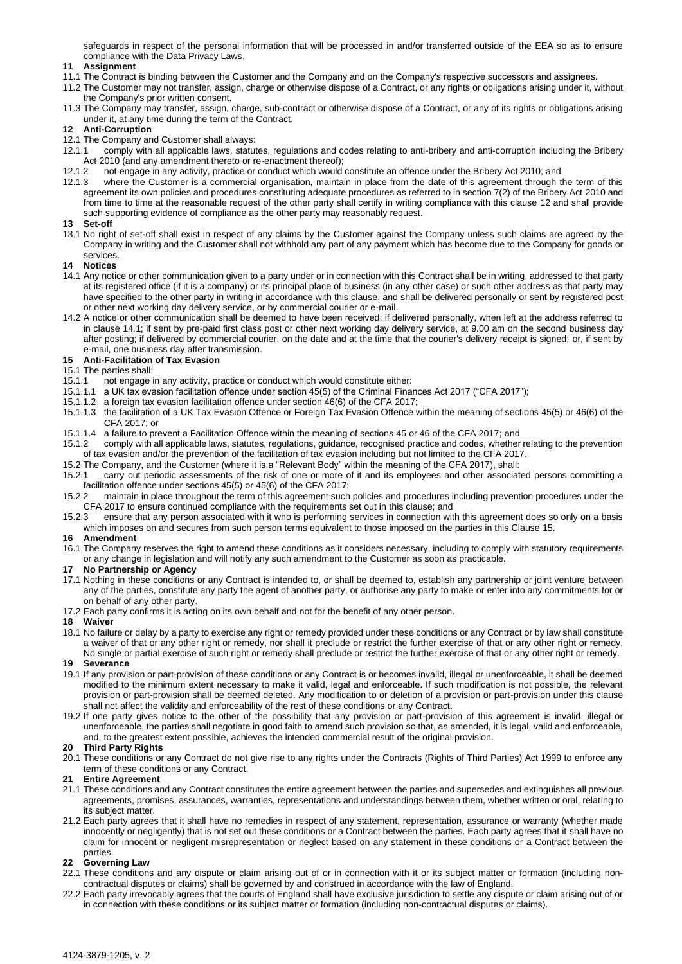safeguards in respect of the personal information that will be processed in and/or transferred outside of the EEA so as to ensure compliance with the Data Privacy Laws.

### **11 Assignment**

- 11.1 The Contract is binding between the Customer and the Company and on the Company's respective successors and assignees.
- 11.2 The Customer may not transfer, assign, charge or otherwise dispose of a Contract, or any rights or obligations arising under it, without the Company's prior written consent.
- 11.3 The Company may transfer, assign, charge, sub-contract or otherwise dispose of a Contract, or any of its rights or obligations arising under it, at any time during the term of the Contract.

#### **12 Anti-Corruption**

- 12.1 The Company and Customer shall always:
- 12.1.1 comply with all applicable laws, statutes, regulations and codes relating to anti-bribery and anti-corruption including the Bribery
- Act 2010 (and any amendment thereto or re-enactment thereof);<br>12.1.2 not engage in any activity, practice or conduct which would 12.1.2 not engage in any activity, practice or conduct which would constitute an offence under the Bribery Act 2010; and
- 12.1.3 where the Customer is a commercial organisation, maintain in place from the date of this agreement through the term of this agreement its own policies and procedures constituting adequate procedures as referred to in section 7(2) of the Bribery Act 2010 and from time to time at the reasonable request of the other party shall certify in writing compliance with this clause 12 and shall provide such supporting evidence of compliance as the other party may reasonably request.

#### **13 Set-off**

13.1 No right of set-off shall exist in respect of any claims by the Customer against the Company unless such claims are agreed by the Company in writing and the Customer shall not withhold any part of any payment which has become due to the Company for goods or services.

#### **14 Notices**

- 14.1 Any notice or other communication given to a party under or in connection with this Contract shall be in writing, addressed to that party at its registered office (if it is a company) or its principal place of business (in any other case) or such other address as that party may have specified to the other party in writing in accordance with this clause, and shall be delivered personally or sent by registered post or other next working day delivery service, or by commercial courier or e-mail.
- 14.2 A notice or other communication shall be deemed to have been received: if delivered personally, when left at the address referred to in clause 14.1; if sent by pre-paid first class post or other next working day delivery service, at 9.00 am on the second business day after posting; if delivered by commercial courier, on the date and at the time that the courier's delivery receipt is signed; or, if sent by e-mail, one business day after transmission.

## **15 Anti-Facilitation of Tax Evasion**

# 15.1 The parties shall:

- 15.1.1 not engage in any activity, practice or conduct which would constitute either:
- 15.1.1.1 a UK tax evasion facilitation offence under section 45(5) of the Criminal Finances Act 2017 ("CFA 2017");
- 15.1.1.2 a foreign tax evasion facilitation offence under section 46(6) of the CFA 2017;
- 15.1.1.3 the facilitation of a UK Tax Evasion Offence or Foreign Tax Evasion Offence within the meaning of sections 45(5) or 46(6) of the CFA 2017; or
- 15.1.1.4 a failure to prevent a Facilitation Offence within the meaning of sections 45 or 46 of the CFA 2017; and
- 15.1.2 comply with all applicable laws, statutes, regulations, guidance, recognised practice and codes, whether relating to the prevention of tax evasion and/or the prevention of the facilitation of tax evasion including but not limited to the CFA 2017.
- 15.2 The Company, and the Customer (where it is a "Relevant Body" within the meaning of the CFA 2017), shall:
- 15.2.1 carry out periodic assessments of the risk of one or more of it and its employees and other associated persons committing a facilitation offence under sections 45(5) or 45(6) of the CFA 2017;
- 15.2.2 maintain in place throughout the term of this agreement such policies and procedures including prevention procedures under the CFA 2017 to ensure continued compliance with the requirements set out in this clause; and<br>15.2.3 ensure that any person associated with it who is performing services in connection wit
- ensure that any person associated with it who is performing services in connection with this agreement does so only on a basis which imposes on and secures from such person terms equivalent to those imposed on the parties in this Clause 15.

### **16 Amendment**

16.1 The Company reserves the right to amend these conditions as it considers necessary, including to comply with statutory requirements or any change in legislation and will notify any such amendment to the Customer as soon as practicable.

#### **17 No Partnership or Agency**

- 17.1 Nothing in these conditions or any Contract is intended to, or shall be deemed to, establish any partnership or joint venture between any of the parties, constitute any party the agent of another party, or authorise any party to make or enter into any commitments for or on behalf of any other party.
- 17.2 Each party confirms it is acting on its own behalf and not for the benefit of any other person.

#### **18 Waiver**

18.1 No failure or delay by a party to exercise any right or remedy provided under these conditions or any Contract or by law shall constitute a waiver of that or any other right or remedy, nor shall it preclude or restrict the further exercise of that or any other right or remedy. No single or partial exercise of such right or remedy shall preclude or restrict the further exercise of that or any other right or remedy.

### **19 Severance**

- 19.1 If any provision or part-provision of these conditions or any Contract is or becomes invalid, illegal or unenforceable, it shall be deemed modified to the minimum extent necessary to make it valid, legal and enforceable. If such modification is not possible, the relevant provision or part-provision shall be deemed deleted. Any modification to or deletion of a provision or part-provision under this clause shall not affect the validity and enforceability of the rest of these conditions or any Contract.
- 19.2 If one party gives notice to the other of the possibility that any provision or part-provision of this agreement is invalid, illegal or unenforceable, the parties shall negotiate in good faith to amend such provision so that, as amended, it is legal, valid and enforceable, and, to the greatest extent possible, achieves the intended commercial result of the original provision.

#### **20 Third Party Rights**

20.1 These conditions or any Contract do not give rise to any rights under the Contracts (Rights of Third Parties) Act 1999 to enforce any term of these conditions or any Contract.

### **21 Entire Agreement**

- 21.1 These conditions and any Contract constitutes the entire agreement between the parties and supersedes and extinguishes all previous agreements, promises, assurances, warranties, representations and understandings between them, whether written or oral, relating to its subject matter.
- 21.2 Each party agrees that it shall have no remedies in respect of any statement, representation, assurance or warranty (whether made innocently or negligently) that is not set out these conditions or a Contract between the parties. Each party agrees that it shall have no claim for innocent or negligent misrepresentation or neglect based on any statement in these conditions or a Contract between the parties.

### **22 Governing Law**

- 22.1 These conditions and any dispute or claim arising out of or in connection with it or its subject matter or formation (including noncontractual disputes or claims) shall be governed by and construed in accordance with the law of England.
- 22.2 Each party irrevocably agrees that the courts of England shall have exclusive jurisdiction to settle any dispute or claim arising out of or in connection with these conditions or its subject matter or formation (including non-contractual disputes or claims).